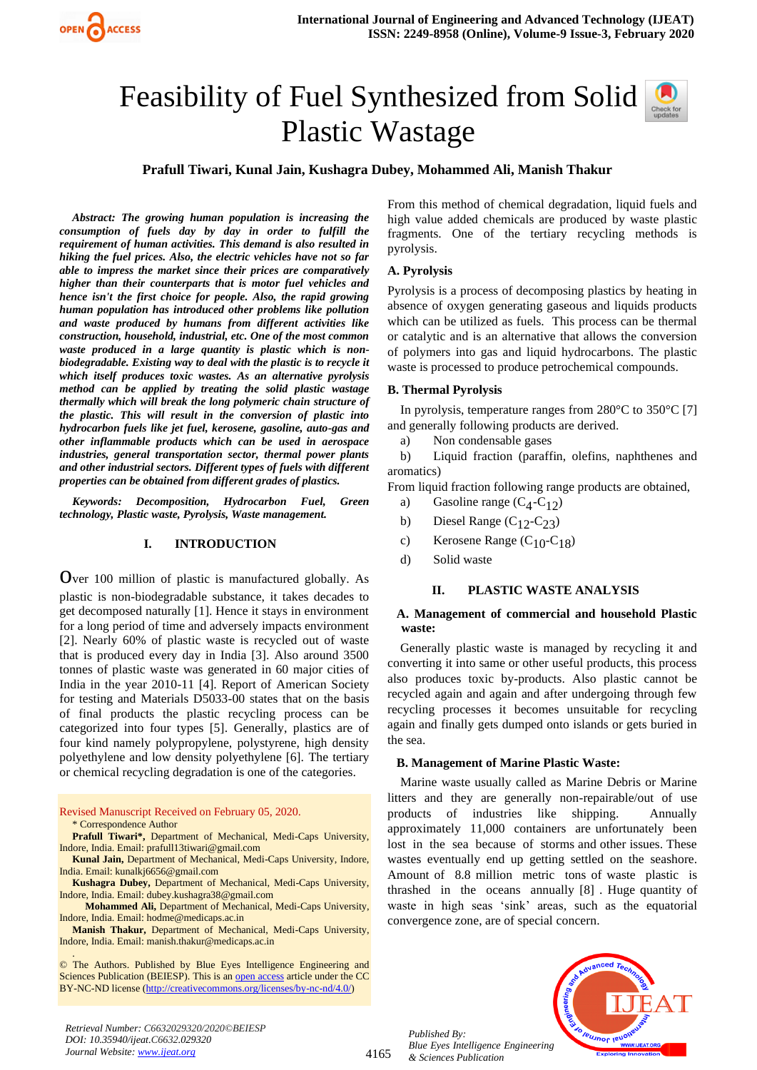## Feasibility of Fuel Synthesized from Solid Plastic Wastage



*Abstract: The growing human population is increasing the consumption of fuels day by day in order to fulfill the requirement of human activities. This demand is also resulted in hiking the fuel prices. Also, the electric vehicles have not so far able to impress the market since their prices are comparatively higher than their counterparts that is motor fuel vehicles and hence isn't the first choice for people. Also, the rapid growing human population has introduced other problems like pollution and waste produced by humans from different activities like construction, household, industrial, etc. One of the most common waste produced in a large quantity is plastic which is nonbiodegradable. Existing way to deal with the plastic is to recycle it which itself produces toxic wastes. As an alternative pyrolysis method can be applied by treating the solid plastic wastage thermally which will break the long polymeric chain structure of the plastic. This will result in the conversion of plastic into hydrocarbon fuels like jet fuel, kerosene, gasoline, auto-gas and other inflammable products which can be used in aerospace industries, general transportation sector, thermal power plants and other industrial sectors. Different types of fuels with different properties can be obtained from different grades of plastics.*

*Keywords: Decomposition, Hydrocarbon Fuel, Green technology, Plastic waste, Pyrolysis, Waste management.*

## **I. INTRODUCTION**

Over 100 million of plastic is manufactured globally. As plastic is non-biodegradable substance, it takes decades to get decomposed naturally [1]. Hence it stays in environment for a long period of time and adversely impacts environment [2]. Nearly 60% of plastic waste is recycled out of waste that is produced every day in India [3]. Also around 3500 tonnes of plastic waste was generated in 60 major cities of India in the year 2010-11 [4]. Report of American Society for testing and Materials D5033-00 states that on the basis of final products the plastic recycling process can be categorized into four types [5]. Generally, plastics are of four kind namely polypropylene, polystyrene, high density polyethylene and low density polyethylene [6]. The tertiary or chemical recycling degradation is one of the categories.

Revised Manuscript Received on February 05, 2020.

\* Correspondence Author

.

**Prafull Tiwari\*,** Department of Mechanical, Medi-Caps University, Indore, India. Email: prafull13tiwari@gmail.com

**Kunal Jain,** Department of Mechanical, Medi-Caps University, Indore, India. Email: kunalkj6656@gmail.com

**Kushagra Dubey,** Department of Mechanical, Medi-Caps University, Indore, India. Email: dubey.kushagra38@gmail.com

 **Mohammed Ali,** Department of Mechanical, Medi-Caps University, Indore, India. Email: hodme@medicaps.ac.in

**Manish Thakur,** Department of Mechanical, Medi-Caps University, Indore, India. Email: manish.thakur@medicaps.ac.in

© The Authors. Published by Blue Eyes Intelligence Engineering and Sciences Publication (BEIESP). This is a[n open access](https://www.openaccess.nl/en/open-publications) article under the CC BY-NC-ND license [\(http://creativecommons.org/licenses/by-nc-nd/4.0/\)](http://creativecommons.org/licenses/by-nc-nd/4.0/)

From this method of chemical degradation, liquid fuels and high value added chemicals are produced by waste plastic fragments. One of the tertiary recycling methods is pyrolysis.

## **A. Pyrolysis**

Pyrolysis is a process of decomposing plastics by heating in absence of oxygen generating gaseous and liquids products which can be utilized as fuels. This process can be thermal or catalytic and is an alternative that allows the conversion of polymers into gas and liquid hydrocarbons. The plastic waste is processed to produce petrochemical compounds.

#### **B. Thermal Pyrolysis**

In pyrolysis, temperature ranges from 280°C to 350°C [7] and generally following products are derived.

a) Non condensable gases

b) Liquid fraction (paraffin, olefins, naphthenes and aromatics)

From liquid fraction following range products are obtained,

- a) Gasoline range  $(C_4-C_{12})$
- b) Diesel Range  $(C_{12}-C_{23})$
- c) Kerosene Range  $(C_{10} C_{18})$
- d) Solid waste

## **II. PLASTIC WASTE ANALYSIS**

#### **A. Management of commercial and household Plastic waste:**

Generally plastic waste is managed by recycling it and converting it into same or other useful products, this process also produces toxic by-products. Also plastic cannot be recycled again and again and after undergoing through few recycling processes it becomes unsuitable for recycling again and finally gets dumped onto islands or gets buried in the sea.

#### **B. Management of Marine Plastic Waste:**

Marine waste usually called as Marine Debris or Marine litters and they are generally non-repairable/out of use products of industries like shipping. Annually approximately 11,000 containers are unfortunately been lost in the sea because of storms and other issues. These wastes eventually end up getting settled on the seashore. Amount of 8.8 million metric tons of waste plastic is thrashed in the oceans annually [8] . Huge quantity of waste in high seas 'sink' areas, such as the equatorial convergence zone, are of special concern.

*Published By: Blue Eyes Intelligence Engineering & Sciences Publication* 



4165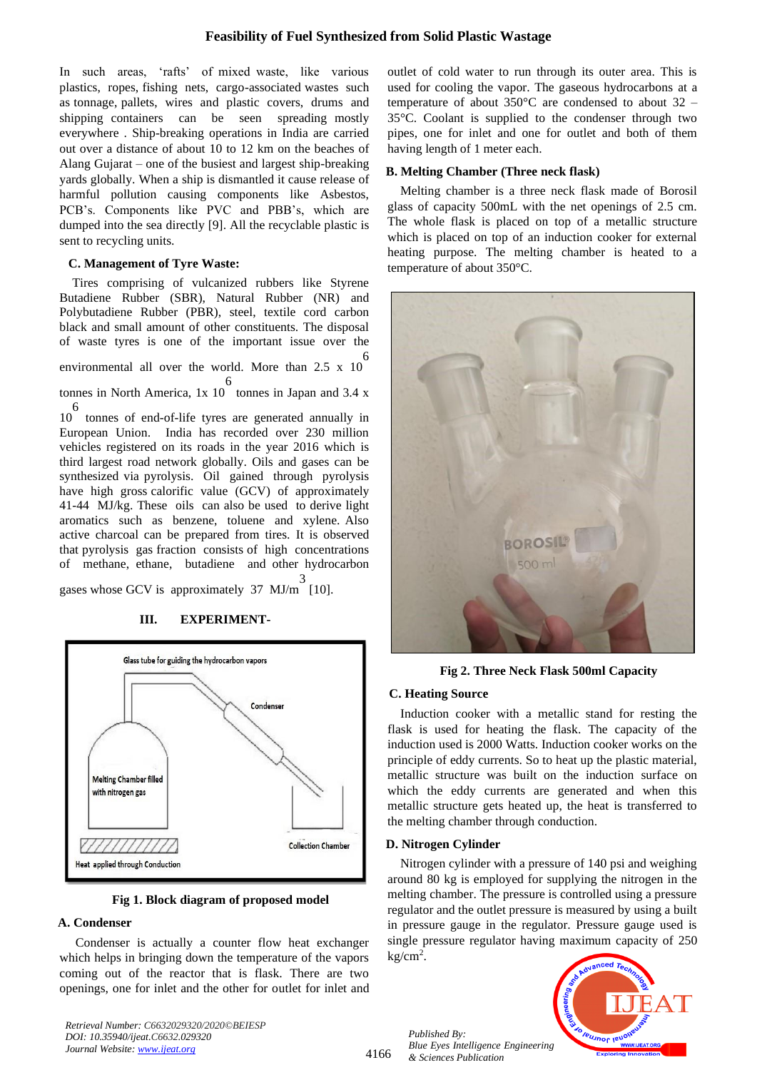## **Feasibility of Fuel Synthesized from Solid Plastic Wastage**

In such areas, 'rafts' of mixed waste, like various plastics, ropes, fishing nets, cargo-associated wastes such as tonnage, pallets, wires and plastic covers, drums and shipping containers can be seen spreading mostly everywhere . Ship-breaking operations in India are carried out over a distance of about 10 to 12 km on the beaches of Alang Gujarat – one of the busiest and largest ship-breaking yards globally. When a ship is dismantled it cause release of harmful pollution causing components like Asbestos, PCB's. Components like PVC and PBB's, which are dumped into the sea directly [9]. All the recyclable plastic is sent to recycling units.

## **C. Management of Tyre Waste:**

Tires comprising of vulcanized rubbers like Styrene Butadiene Rubber (SBR), Natural Rubber (NR) and Polybutadiene Rubber (PBR), steel, textile cord carbon black and small amount of other constituents. The disposal of waste tyres is one of the important issue over the 6

environmental all over the world. More than  $2.5 \times 10^{-7}$ 

tonnes in North America, 1x 10 6 tonnes in Japan and 3.4 x 6

10 tonnes of end-of-life tyres are generated annually in European Union. India has recorded over 230 million vehicles registered on its roads in the year 2016 which is third largest road network globally. Oils and gases can be synthesized via pyrolysis. Oil gained through pyrolysis have high gross calorific value (GCV) of approximately 41-44 MJ/kg. These oils can also be used to derive light aromatics such as benzene, toluene and xylene. Also active charcoal can be prepared from tires. It is observed that pyrolysis gas fraction consists of high concentrations of methane, ethane, butadiene and other hydrocarbon 3

gases whose GCV is approximately 37 MJ/m [10].

# Glass tube for guiding the hydrocarbon vapors Condenser Melting Chamber filled with nitrogen gas **Collection Chamber Heat applied through Conduction**

## **III. EXPERIMENT-**

**Fig 1. Block diagram of proposed model**

## **A. Condenser**

Condenser is actually a counter flow heat exchanger which helps in bringing down the temperature of the vapors coming out of the reactor that is flask. There are two openings, one for inlet and the other for outlet for inlet and

*Retrieval Number: C6632029320/2020©BEIESP DOI: 10.35940/ijeat.C6632.029320 Journal Website[: www.ijeat.org](http://www.ijeat.org/)*

outlet of cold water to run through its outer area. This is used for cooling the vapor. The gaseous hydrocarbons at a temperature of about 350°C are condensed to about 32 – 35°C. Coolant is supplied to the condenser through two pipes, one for inlet and one for outlet and both of them having length of 1 meter each.

## **B. Melting Chamber (Three neck flask)**

Melting chamber is a three neck flask made of Borosil glass of capacity 500mL with the net openings of 2.5 cm. The whole flask is placed on top of a metallic structure which is placed on top of an induction cooker for external heating purpose. The melting chamber is heated to a temperature of about 350°C.



**Fig 2. Three Neck Flask 500ml Capacity**

## **C. Heating Source**

Induction cooker with a metallic stand for resting the flask is used for heating the flask. The capacity of the induction used is 2000 Watts. Induction cooker works on the principle of eddy currents. So to heat up the plastic material, metallic structure was built on the induction surface on which the eddy currents are generated and when this metallic structure gets heated up, the heat is transferred to the melting chamber through conduction.

## **D. Nitrogen Cylinder**

Nitrogen cylinder with a pressure of 140 psi and weighing around 80 kg is employed for supplying the nitrogen in the melting chamber. The pressure is controlled using a pressure regulator and the outlet pressure is measured by using a built in pressure gauge in the regulator. Pressure gauge used is single pressure regulator having maximum capacity of 250  $kg/cm<sup>2</sup>$ .

*Published By: Blue Eyes Intelligence Engineering & Sciences Publication* 



4166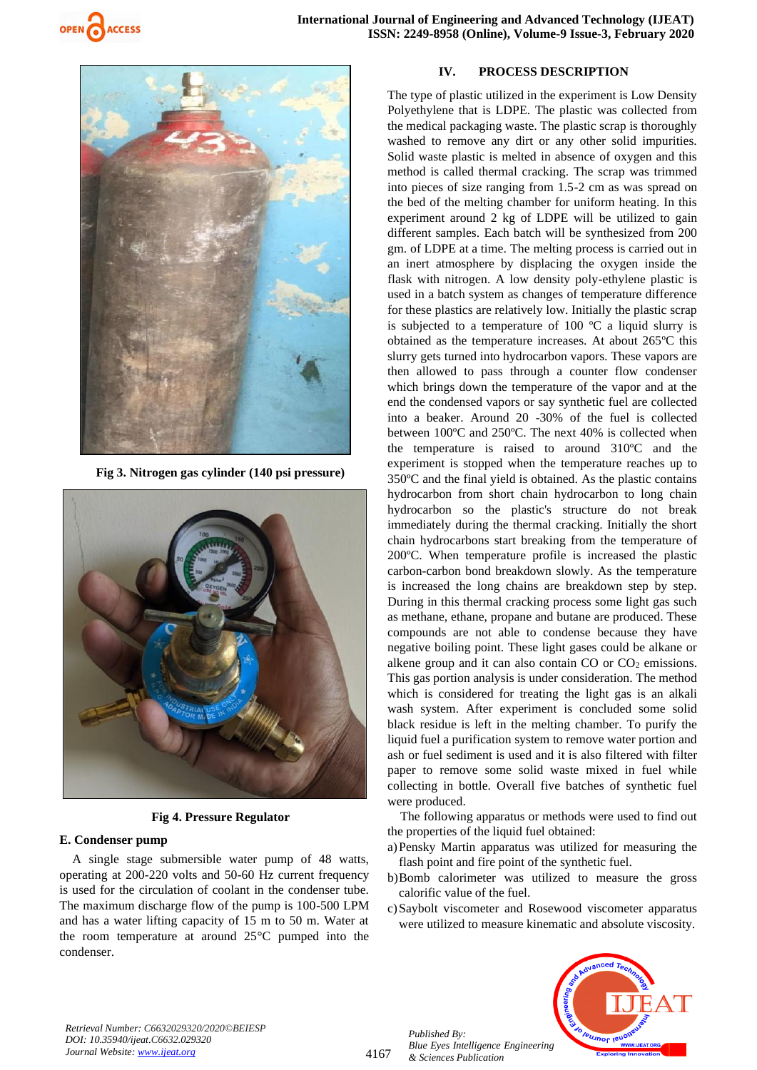



**Fig 3. Nitrogen gas cylinder (140 psi pressure)**



**Fig 4. Pressure Regulator**

## **E. Condenser pump**

A single stage submersible water pump of 48 watts, operating at 200-220 volts and 50-60 Hz current frequency is used for the circulation of coolant in the condenser tube. The maximum discharge flow of the pump is 100-500 LPM and has a water lifting capacity of 15 m to 50 m. Water at the room temperature at around 25°C pumped into the condenser.

## **IV. PROCESS DESCRIPTION**

The type of plastic utilized in the experiment is Low Density Polyethylene that is LDPE. The plastic was collected from the medical packaging waste. The plastic scrap is thoroughly washed to remove any dirt or any other solid impurities. Solid waste plastic is melted in absence of oxygen and this method is called thermal cracking. The scrap was trimmed into pieces of size ranging from 1.5-2 cm as was spread on the bed of the melting chamber for uniform heating. In this experiment around 2 kg of LDPE will be utilized to gain different samples. Each batch will be synthesized from 200 gm. of LDPE at a time. The melting process is carried out in an inert atmosphere by displacing the oxygen inside the flask with nitrogen. A low density poly-ethylene plastic is used in a batch system as changes of temperature difference for these plastics are relatively low. Initially the plastic scrap is subjected to a temperature of 100 ºC a liquid slurry is obtained as the temperature increases. At about 265ºC this slurry gets turned into hydrocarbon vapors. These vapors are then allowed to pass through a counter flow condenser which brings down the temperature of the vapor and at the end the condensed vapors or say synthetic fuel are collected into a beaker. Around 20 -30% of the fuel is collected between 100ºC and 250ºC. The next 40% is collected when the temperature is raised to around 310ºC and the experiment is stopped when the temperature reaches up to 350ºC and the final yield is obtained. As the plastic contains hydrocarbon from short chain hydrocarbon to long chain hydrocarbon so the plastic's structure do not break immediately during the thermal cracking. Initially the short chain hydrocarbons start breaking from the temperature of 200ºC. When temperature profile is increased the plastic carbon-carbon bond breakdown slowly. As the temperature is increased the long chains are breakdown step by step. During in this thermal cracking process some light gas such as methane, ethane, propane and butane are produced. These compounds are not able to condense because they have negative boiling point. These light gases could be alkane or alkene group and it can also contain  $CO$  or  $CO<sub>2</sub>$  emissions. This gas portion analysis is under consideration. The method which is considered for treating the light gas is an alkali wash system. After experiment is concluded some solid black residue is left in the melting chamber. To purify the liquid fuel a purification system to remove water portion and ash or fuel sediment is used and it is also filtered with filter paper to remove some solid waste mixed in fuel while collecting in bottle. Overall five batches of synthetic fuel were produced.

The following apparatus or methods were used to find out the properties of the liquid fuel obtained:

a)Pensky Martin apparatus was utilized for measuring the flash point and fire point of the synthetic fuel.

- b)Bomb calorimeter was utilized to measure the gross calorific value of the fuel.
- c)Saybolt viscometer and Rosewood viscometer apparatus were utilized to measure kinematic and absolute viscosity.



*Retrieval Number: C6632029320/2020©BEIESP DOI: 10.35940/ijeat.C6632.029320 Journal Website[: www.ijeat.org](http://www.ijeat.org/)*

4167

*Published By: Blue Eyes Intelligence Engineering & Sciences Publication*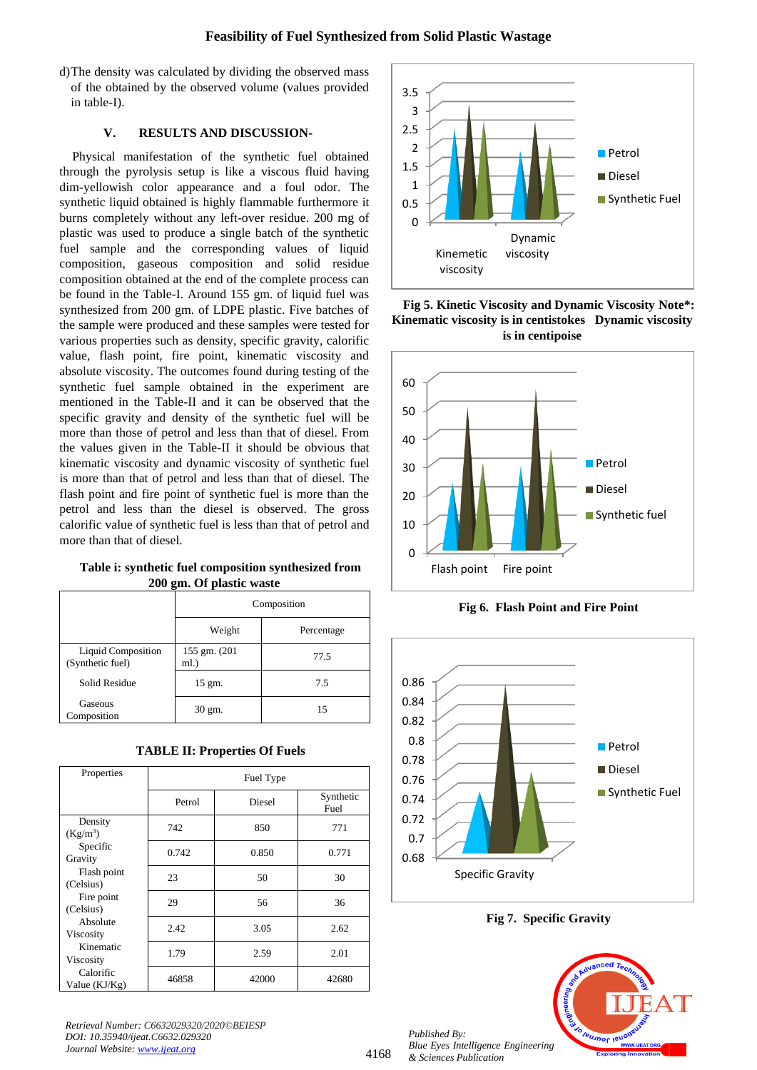d)The density was calculated by dividing the observed mass of the obtained by the observed volume (values provided in table-I).

## **V. RESULTS AND DISCUSSION-**

Physical manifestation of the synthetic fuel obtained through the pyrolysis setup is like a viscous fluid having dim-yellowish color appearance and a foul odor. The synthetic liquid obtained is highly flammable furthermore it burns completely without any left-over residue. 200 mg of plastic was used to produce a single batch of the synthetic fuel sample and the corresponding values of liquid composition, gaseous composition and solid residue composition obtained at the end of the complete process can be found in the Table-I. Around 155 gm. of liquid fuel was synthesized from 200 gm. of LDPE plastic. Five batches of the sample were produced and these samples were tested for various properties such as density, specific gravity, calorific value, flash point, fire point, kinematic viscosity and absolute viscosity. The outcomes found during testing of the synthetic fuel sample obtained in the experiment are mentioned in the Table-II and it can be observed that the specific gravity and density of the synthetic fuel will be more than those of petrol and less than that of diesel. From the values given in the Table-II it should be obvious that kinematic viscosity and dynamic viscosity of synthetic fuel is more than that of petrol and less than that of diesel. The flash point and fire point of synthetic fuel is more than the petrol and less than the diesel is observed. The gross calorific value of synthetic fuel is less than that of petrol and more than that of diesel.

## **Table i: synthetic fuel composition synthesized from 200 gm. Of plastic waste**

|                                               | Composition           |            |  |
|-----------------------------------------------|-----------------------|------------|--|
|                                               | Weight                | Percentage |  |
| <b>Liquid Composition</b><br>(Synthetic fuel) | 155 gm. (201)<br>ml.) | 77.5       |  |
| <b>Solid Residue</b>                          | $15 \text{ gm}.$      | 7.5        |  |
| Gaseous<br>Composition                        | 30 gm.                | 15         |  |

| <b>TABLE II: Properties Of Fuels</b> |  |  |
|--------------------------------------|--|--|
|--------------------------------------|--|--|

| Properties                                                                                                                                                                             | Fuel Type |        |                   |  |
|----------------------------------------------------------------------------------------------------------------------------------------------------------------------------------------|-----------|--------|-------------------|--|
|                                                                                                                                                                                        | Petrol    | Diesel | Synthetic<br>Fuel |  |
| Density<br>$(Kg/m^3)$<br>Specific<br>Gravity<br>Flash point<br>(Celsius)<br>Fire point<br>(Celsius)<br>Absolute<br>Viscosity<br>Kinematic<br>Viscosity<br>Calorific<br>Value $(KJ/Kg)$ | 742       | 850    | 771               |  |
|                                                                                                                                                                                        | 0.742     | 0.850  | 0.771             |  |
|                                                                                                                                                                                        | 23        | 50     | 30                |  |
|                                                                                                                                                                                        | 29        | 56     | 36                |  |
|                                                                                                                                                                                        | 2.42      | 3.05   | 2.62              |  |
|                                                                                                                                                                                        | 1.79      | 2.59   | 2.01              |  |
|                                                                                                                                                                                        | 46858     | 42000  | 42680             |  |

*Retrieval Number: C6632029320/2020©BEIESP DOI: 10.35940/ijeat.C6632.029320 Journal Website[: www.ijeat.org](http://www.ijeat.org/)*



**Fig 5. Kinetic Viscosity and Dynamic Viscosity Note\*: Kinematic viscosity is in centistokes Dynamic viscosity is in centipoise**



**Fig 6. Flash Point and Fire Point**



**Fig 7. Specific Gravity**

*Published By: Blue Eyes Intelligence Engineering & Sciences Publication*